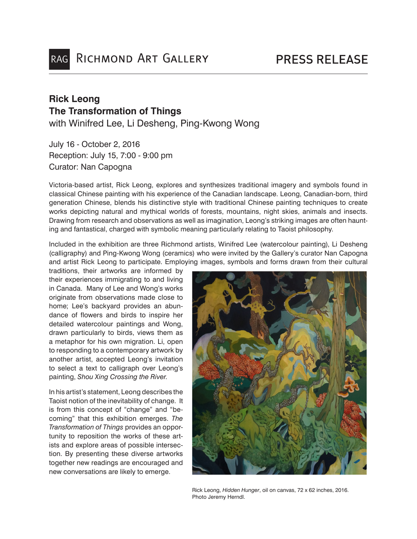## **Rick Leong The Transformation of Things** with Winifred Lee, Li Desheng, Ping-Kwong Wong

July 16 - October 2, 2016 Reception: July 15, 7:00 - 9:00 pm Curator: Nan Capogna

Victoria-based artist, Rick Leong, explores and synthesizes traditional imagery and symbols found in classical Chinese painting with his experience of the Canadian landscape. Leong, Canadian-born, third generation Chinese, blends his distinctive style with traditional Chinese painting techniques to create works depicting natural and mythical worlds of forests, mountains, night skies, animals and insects. Drawing from research and observations as well as imagination, Leong's striking images are often haunting and fantastical, charged with symbolic meaning particularly relating to Taoist philosophy.

Included in the exhibition are three Richmond artists, Winifred Lee (watercolour painting), Li Desheng (calligraphy) and Ping-Kwong Wong (ceramics) who were invited by the Gallery's curator Nan Capogna and artist Rick Leong to participate. Employing images, symbols and forms drawn from their cultural

traditions, their artworks are informed by their experiences immigrating to and living in Canada. Many of Lee and Wong's works originate from observations made close to home; Lee's backyard provides an abundance of flowers and birds to inspire her detailed watercolour paintings and Wong, drawn particularly to birds, views them as a metaphor for his own migration. Li, open to responding to a contemporary artwork by another artist, accepted Leong's invitation to select a text to calligraph over Leong's painting, *Shou Xing Crossing the River*.

In his artist's statement, Leong describes the Taoist notion of the inevitability of change. It is from this concept of "change" and "becoming" that this exhibition emerges. *The Transformation of Things* provides an opportunity to reposition the works of these artists and explore areas of possible intersection. By presenting these diverse artworks together new readings are encouraged and new conversations are likely to emerge.



Rick Leong, *Hidden Hunger*, oil on canvas, 72 x 62 inches, 2016. Photo Jeremy Herndl.